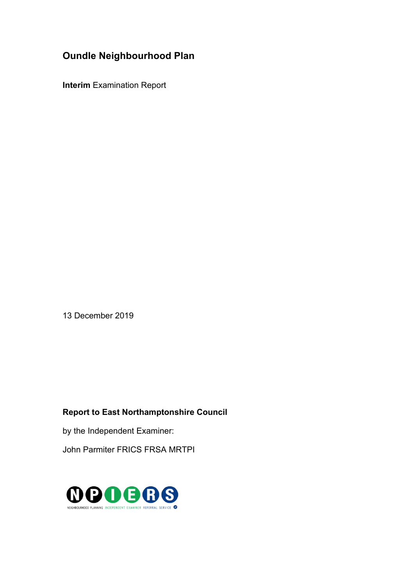# **Oundle Neighbourhood Plan**

**Interim** Examination Report

13 December 2019

# **Report to East Northamptonshire Council**

by the Independent Examiner:

John Parmiter FRICS FRSA MRTPI

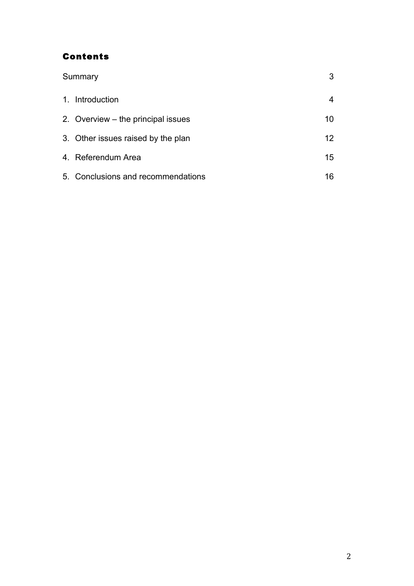# Contents

| Summary |                                    |                   |
|---------|------------------------------------|-------------------|
|         | 1. Introduction                    |                   |
|         | 2. Overview – the principal issues | 10                |
|         | 3. Other issues raised by the plan | $12 \overline{ }$ |
|         | 4. Referendum Area                 | 15                |
|         | 5. Conclusions and recommendations | 16                |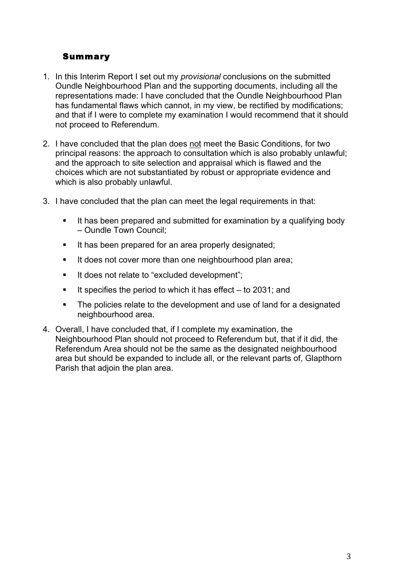# Summary

- 1. In this Interim Report I set out my *provisional* conclusions on the submitted Oundle Neighbourhood Plan and the supporting documents, including all the representations made: I have concluded that the Oundle Neighbourhood Plan has fundamental flaws which cannot, in my view, be rectified by modifications; and that if I were to complete my examination I would recommend that it should not proceed to Referendum.
- 2. I have concluded that the plan does not meet the Basic Conditions, for two principal reasons: the approach to consultation which is also probably unlawful; and the approach to site selection and appraisal which is flawed and the choices which are not substantiated by robust or appropriate evidence and which is also probably unlawful.
- 3. I have concluded that the plan can meet the legal requirements in that:
	- It has been prepared and submitted for examination by a qualifying body – Oundle Town Council;
	- It has been prepared for an area properly designated;
	- It does not cover more than one neighbourhood plan area;
	- It does not relate to "excluded development";
	- **If specifies the period to which it has effect to 2031; and**
	- The policies relate to the development and use of land for a designated neighbourhood area.
- 4. Overall, I have concluded that, if I complete my examination, the Neighbourhood Plan should not proceed to Referendum but, that if it did, the Referendum Area should not be the same as the designated neighbourhood area but should be expanded to include all, or the relevant parts of, Glapthorn Parish that adjoin the plan area.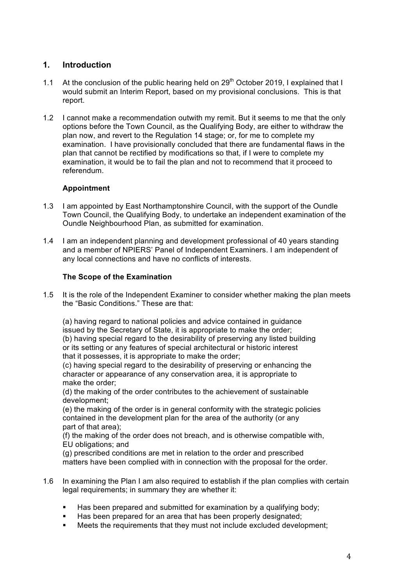# **1. Introduction**

- 1.1 At the conclusion of the public hearing held on  $29<sup>th</sup>$  October 2019, I explained that I would submit an Interim Report, based on my provisional conclusions. This is that report.
- 1.2 I cannot make a recommendation outwith my remit. But it seems to me that the only options before the Town Council, as the Qualifying Body, are either to withdraw the plan now, and revert to the Regulation 14 stage; or, for me to complete my examination. I have provisionally concluded that there are fundamental flaws in the plan that cannot be rectified by modifications so that, if I were to complete my examination, it would be to fail the plan and not to recommend that it proceed to referendum.

## **Appointment**

- 1.3 I am appointed by East Northamptonshire Council, with the support of the Oundle Town Council, the Qualifying Body, to undertake an independent examination of the Oundle Neighbourhood Plan, as submitted for examination.
- 1.4 I am an independent planning and development professional of 40 years standing and a member of NPIERS' Panel of Independent Examiners. I am independent of any local connections and have no conflicts of interests.

## **The Scope of the Examination**

1.5 It is the role of the Independent Examiner to consider whether making the plan meets the "Basic Conditions." These are that:

(a) having regard to national policies and advice contained in guidance issued by the Secretary of State, it is appropriate to make the order; (b) having special regard to the desirability of preserving any listed building or its setting or any features of special architectural or historic interest that it possesses, it is appropriate to make the order;

(c) having special regard to the desirability of preserving or enhancing the character or appearance of any conservation area, it is appropriate to make the order;

(d) the making of the order contributes to the achievement of sustainable development;

(e) the making of the order is in general conformity with the strategic policies contained in the development plan for the area of the authority (or any part of that area);

(f) the making of the order does not breach, and is otherwise compatible with, EU obligations; and

(g) prescribed conditions are met in relation to the order and prescribed matters have been complied with in connection with the proposal for the order.

- 1.6 In examining the Plan I am also required to establish if the plan complies with certain legal requirements; in summary they are whether it:
	- Has been prepared and submitted for examination by a qualifying body;
	- Has been prepared for an area that has been properly designated;
	- § Meets the requirements that they must not include excluded development;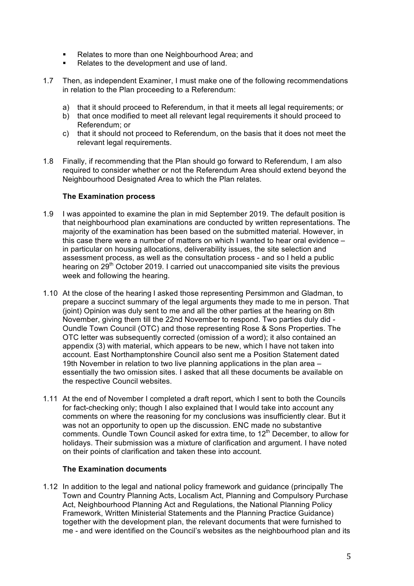- Relates to more than one Neighbourhood Area; and
- Relates to the development and use of land.
- 1.7 Then, as independent Examiner, I must make one of the following recommendations in relation to the Plan proceeding to a Referendum:
	- a) that it should proceed to Referendum, in that it meets all legal requirements; or
	- b) that once modified to meet all relevant legal requirements it should proceed to Referendum; or
	- c) that it should not proceed to Referendum, on the basis that it does not meet the relevant legal requirements.
- 1.8 Finally, if recommending that the Plan should go forward to Referendum, I am also required to consider whether or not the Referendum Area should extend beyond the Neighbourhood Designated Area to which the Plan relates.

#### **The Examination process**

- 1.9 I was appointed to examine the plan in mid September 2019. The default position is that neighbourhood plan examinations are conducted by written representations. The majority of the examination has been based on the submitted material. However, in this case there were a number of matters on which I wanted to hear oral evidence – in particular on housing allocations, deliverability issues, the site selection and assessment process, as well as the consultation process - and so I held a public hearing on 29<sup>th</sup> October 2019. I carried out unaccompanied site visits the previous week and following the hearing.
- 1.10 At the close of the hearing I asked those representing Persimmon and Gladman, to prepare a succinct summary of the legal arguments they made to me in person. That (joint) Opinion was duly sent to me and all the other parties at the hearing on 8th November, giving them till the 22nd November to respond. Two parties duly did - Oundle Town Council (OTC) and those representing Rose & Sons Properties. The OTC letter was subsequently corrected (omission of a word); it also contained an appendix (3) with material, which appears to be new, which I have not taken into account. East Northamptonshire Council also sent me a Position Statement dated 19th November in relation to two live planning applications in the plan area – essentially the two omission sites. I asked that all these documents be available on the respective Council websites.
- 1.11 At the end of November I completed a draft report, which I sent to both the Councils for fact-checking only; though I also explained that I would take into account any comments on where the reasoning for my conclusions was insufficiently clear. But it was not an opportunity to open up the discussion. ENC made no substantive comments. Oundle Town Council asked for extra time, to 12<sup>th</sup> December, to allow for holidays. Their submission was a mixture of clarification and argument. I have noted on their points of clarification and taken these into account.

#### **The Examination documents**

1.12 In addition to the legal and national policy framework and guidance (principally The Town and Country Planning Acts, Localism Act, Planning and Compulsory Purchase Act, Neighbourhood Planning Act and Regulations, the National Planning Policy Framework, Written Ministerial Statements and the Planning Practice Guidance) together with the development plan, the relevant documents that were furnished to me - and were identified on the Council's websites as the neighbourhood plan and its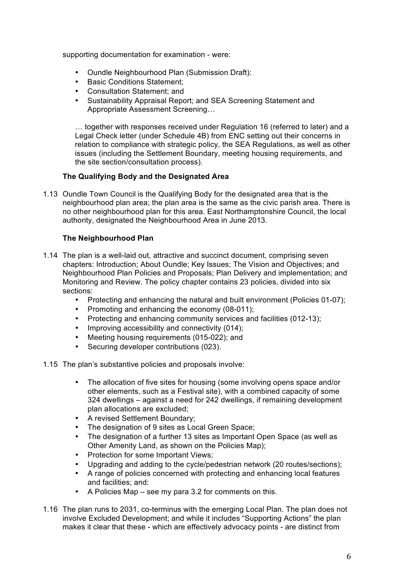supporting documentation for examination - were:

- Oundle Neighbourhood Plan (Submission Draft):
- Basic Conditions Statement;
- Consultation Statement; and
- Sustainability Appraisal Report; and SEA Screening Statement and Appropriate Assessment Screening…

… together with responses received under Regulation 16 (referred to later) and a Legal Check letter (under Schedule 4B) from ENC setting out their concerns in relation to compliance with strategic policy, the SEA Regulations, as well as other issues (including the Settlement Boundary, meeting housing requirements, and the site section/consultation process).

## **The Qualifying Body and the Designated Area**

1.13 Oundle Town Council is the Qualifying Body for the designated area that is the neighbourhood plan area; the plan area is the same as the civic parish area. There is no other neighbourhood plan for this area. East Northamptonshire Council, the local authority, designated the Neighbourhood Area in June 2013.

## **The Neighbourhood Plan**

- 1.14 The plan is a well-laid out, attractive and succinct document, comprising seven chapters: Introduction; About Oundle; Key Issues; The Vision and Objectives; and Neighbourhood Plan Policies and Proposals; Plan Delivery and implementation; and Monitoring and Review. The policy chapter contains 23 policies, divided into six sections:
	- Protecting and enhancing the natural and built environment (Policies 01-07);
	- Promoting and enhancing the economy (08-011);
	- Protecting and enhancing community services and facilities (012-13);
	- Improving accessibility and connectivity (014);
	- Meeting housing requirements (015-022); and
	- Securing developer contributions (023).
- 1.15 The plan's substantive policies and proposals involve:
	- The allocation of five sites for housing (some involving opens space and/or other elements, such as a Festival site), with a combined capacity of some 324 dwellings – against a need for 242 dwellings, if remaining development plan allocations are excluded;
	- A revised Settlement Boundary;
	- The designation of 9 sites as Local Green Space;
	- The designation of a further 13 sites as Important Open Space (as well as Other Amenity Land, as shown on the Policies Map);
	- Protection for some Important Views;
	- Upgrading and adding to the cycle/pedestrian network (20 routes/sections);
	- A range of policies concerned with protecting and enhancing local features and facilities; and:
	- A Policies Map see my para 3.2 for comments on this.
- 1.16 The plan runs to 2031, co-terminus with the emerging Local Plan. The plan does not involve Excluded Development; and while it includes "Supporting Actions" the plan makes it clear that these - which are effectively advocacy points - are distinct from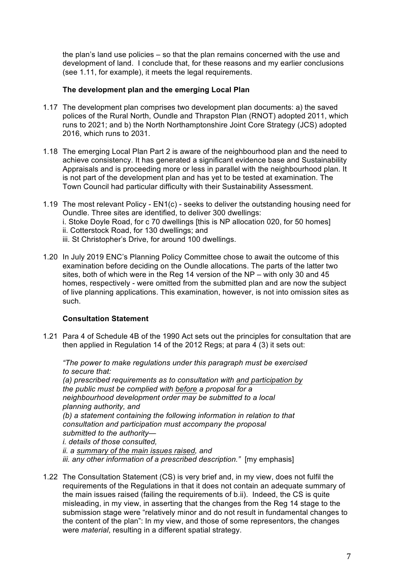the plan's land use policies – so that the plan remains concerned with the use and development of land. I conclude that, for these reasons and my earlier conclusions (see 1.11, for example), it meets the legal requirements.

#### **The development plan and the emerging Local Plan**

- 1.17 The development plan comprises two development plan documents: a) the saved polices of the Rural North, Oundle and Thrapston Plan (RNOT) adopted 2011, which runs to 2021; and b) the North Northamptonshire Joint Core Strategy (JCS) adopted 2016, which runs to 2031.
- 1.18 The emerging Local Plan Part 2 is aware of the neighbourhood plan and the need to achieve consistency. It has generated a significant evidence base and Sustainability Appraisals and is proceeding more or less in parallel with the neighbourhood plan. It is not part of the development plan and has yet to be tested at examination. The Town Council had particular difficulty with their Sustainability Assessment.
- 1.19 The most relevant Policy EN1(c) seeks to deliver the outstanding housing need for Oundle. Three sites are identified, to deliver 300 dwellings: i. Stoke Doyle Road, for c 70 dwellings [this is NP allocation 020, for 50 homes] ii. Cotterstock Road, for 130 dwellings; and iii. St Christopher's Drive, for around 100 dwellings.
- 1.20 In July 2019 ENC's Planning Policy Committee chose to await the outcome of this examination before deciding on the Oundle allocations. The parts of the latter two sites, both of which were in the Reg 14 version of the NP – with only 30 and 45 homes, respectively - were omitted from the submitted plan and are now the subject of live planning applications. This examination, however, is not into omission sites as such.

#### **Consultation Statement**

1.21 Para 4 of Schedule 4B of the 1990 Act sets out the principles for consultation that are then applied in Regulation 14 of the 2012 Regs; at para 4 (3) it sets out:

*"The power to make regulations under this paragraph must be exercised to secure that: (a) prescribed requirements as to consultation with and participation by the public must be complied with before a proposal for a neighbourhood development order may be submitted to a local planning authority, and (b) a statement containing the following information in relation to that consultation and participation must accompany the proposal submitted to the authority i. details of those consulted, ii. a summary of the main issues raised, and iii. any other information of a prescribed description."* [my emphasis]

1.22 The Consultation Statement (CS) is very brief and, in my view, does not fulfil the requirements of the Regulations in that it does not contain an adequate summary of the main issues raised (failing the requirements of b.ii). Indeed, the CS is quite misleading, in my view, in asserting that the changes from the Reg 14 stage to the submission stage were "relatively minor and do not result in fundamental changes to the content of the plan": In my view, and those of some representors, the changes were *material*, resulting in a different spatial strategy.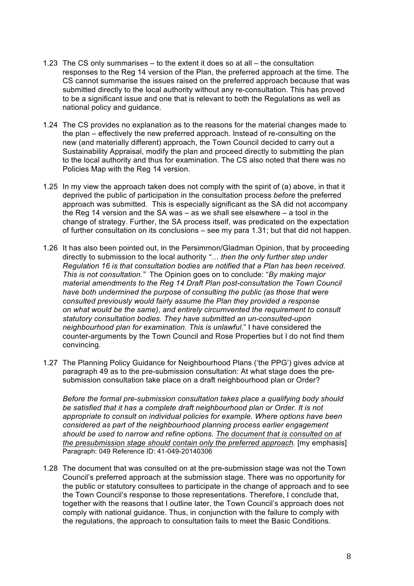- 1.23 The CS only summarises to the extent it does so at all the consultation responses to the Reg 14 version of the Plan, the preferred approach at the time. The CS cannot summarise the issues raised on the preferred approach because that was submitted directly to the local authority without any re-consultation. This has proved to be a significant issue and one that is relevant to both the Regulations as well as national policy and guidance.
- 1.24 The CS provides no explanation as to the reasons for the material changes made to the plan – effectively the new preferred approach. Instead of re-consulting on the new (and materially different) approach, the Town Council decided to carry out a Sustainability Appraisal, modify the plan and proceed directly to submitting the plan to the local authority and thus for examination. The CS also noted that there was no Policies Map with the Reg 14 version.
- 1.25 In my view the approach taken does not comply with the spirit of (a) above, in that it deprived the public of participation in the consultation process *before* the preferred approach was submitted. This is especially significant as the SA did not accompany the Reg 14 version and the SA was – as we shall see elsewhere – a tool in the change of strategy. Further, the SA process itself, was predicated on the expectation of further consultation on its conclusions – see my para 1.31; but that did not happen.
- 1.26 It has also been pointed out, in the Persimmon/Gladman Opinion, that by proceeding directly to submission to the local authority *"… then the only further step under Regulation 16 is that consultation bodies are notified that a Plan has been received. This is not consultation."* The Opinion goes on to conclude: "*By making major material amendments to the Reg 14 Draft Plan post-consultation the Town Council have both undermined the purpose of consulting the public (as those that were consulted previously would fairly assume the Plan they provided a response on what would be the same), and entirely circumvented the requirement to consult statutory consultation bodies. They have submitted an un-consulted-upon neighbourhood plan for examination. This is unlawful*." I have considered the counter-arguments by the Town Council and Rose Properties but I do not find them convincing.
- 1.27 The Planning Policy Guidance for Neighbourhood Plans ('the PPG') gives advice at paragraph 49 as to the pre-submission consultation: At what stage does the presubmission consultation take place on a draft neighbourhood plan or Order?

*Before the formal pre-submission consultation takes place a qualifying body should be satisfied that it has a complete draft neighbourhood plan or Order. It is not appropriate to consult on individual policies for example. Where options have been considered as part of the neighbourhood planning process earlier engagement should be used to narrow and refine options. The document that is consulted on at the presubmission stage should contain only the preferred approach.* [my emphasis] Paragraph: 049 Reference ID: 41-049-20140306

1.28 The document that was consulted on at the pre-submission stage was not the Town Council's preferred approach at the submission stage. There was no opportunity for the public or statutory consultees to participate in the change of approach and to see the Town Council's response to those representations. Therefore, I conclude that, together with the reasons that I outline later, the Town Council's approach does not comply with national guidance. Thus, in conjunction with the failure to comply with the regulations, the approach to consultation fails to meet the Basic Conditions.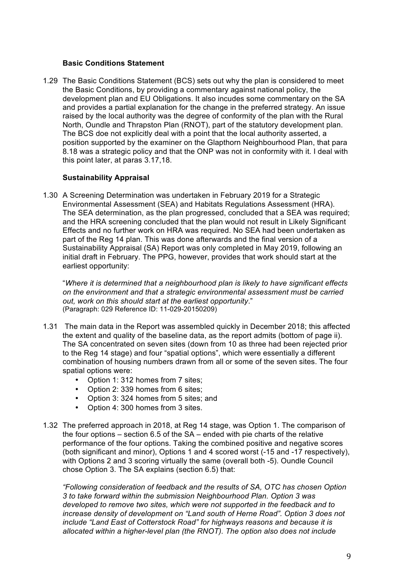#### **Basic Conditions Statement**

1.29 The Basic Conditions Statement (BCS) sets out why the plan is considered to meet the Basic Conditions, by providing a commentary against national policy, the development plan and EU Obligations. It also incudes some commentary on the SA and provides a partial explanation for the change in the preferred strategy. An issue raised by the local authority was the degree of conformity of the plan with the Rural North, Oundle and Thrapston Plan (RNOT), part of the statutory development plan. The BCS doe not explicitly deal with a point that the local authority asserted, a position supported by the examiner on the Glapthorn Neighbourhood Plan, that para 8.18 was a strategic policy and that the ONP was not in conformity with it. I deal with this point later, at paras 3.17,18.

#### **Sustainability Appraisal**

1.30 A Screening Determination was undertaken in February 2019 for a Strategic Environmental Assessment (SEA) and Habitats Regulations Assessment (HRA). The SEA determination, as the plan progressed, concluded that a SEA was required; and the HRA screening concluded that the plan would not result in Likely Significant Effects and no further work on HRA was required. No SEA had been undertaken as part of the Reg 14 plan. This was done afterwards and the final version of a Sustainability Appraisal (SA) Report was only completed in May 2019, following an initial draft in February. The PPG, however, provides that work should start at the earliest opportunity:

"*Where it is determined that a neighbourhood plan is likely to have significant effects on the environment and that a strategic environmental assessment must be carried out, work on this should start at the earliest opportunity*." (Paragraph: 029 Reference ID: 11-029-20150209)

- 1.31 The main data in the Report was assembled quickly in December 2018; this affected the extent and quality of the baseline data, as the report admits (bottom of page ii). The SA concentrated on seven sites (down from 10 as three had been rejected prior to the Reg 14 stage) and four "spatial options", which were essentially a different combination of housing numbers drawn from all or some of the seven sites. The four spatial options were:
	- Option 1: 312 homes from 7 sites;
	- Option 2: 339 homes from 6 sites;
	- Option 3: 324 homes from 5 sites; and
	- Option 4: 300 homes from 3 sites.
- 1.32 The preferred approach in 2018, at Reg 14 stage, was Option 1. The comparison of the four options – section 6.5 of the SA – ended with pie charts of the relative performance of the four options. Taking the combined positive and negative scores (both significant and minor), Options 1 and 4 scored worst (-15 and -17 respectively), with Options 2 and 3 scoring virtually the same (overall both -5). Oundle Council chose Option 3. The SA explains (section 6.5) that:

*"Following consideration of feedback and the results of SA, OTC has chosen Option 3 to take forward within the submission Neighbourhood Plan. Option 3 was developed to remove two sites, which were not supported in the feedback and to increase density of development on "Land south of Herne Road". Option 3 does not include "Land East of Cotterstock Road" for highways reasons and because it is allocated within a higher-level plan (the RNOT). The option also does not include*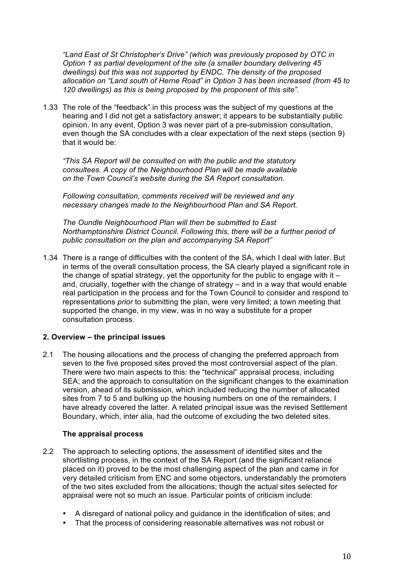*"Land East of St Christopher's Drive" (which was previously proposed by OTC in Option 1 as partial development of the site (a smaller boundary delivering 45 dwellings) but this was not supported by ENDC. The density of the proposed allocation on "Land south of Herne Road" in Option 3 has been increased (from 45 to 120 dwellings) as this is being proposed by the proponent of this site".* 

1.33 The role of the "feedback" in this process was the subject of my questions at the hearing and I did not get a satisfactory answer; it appears to be substantially public opinion. In any event, Option 3 was never part of a pre-submission consultation, even though the SA concludes with a clear expectation of the next steps (section 9) that it would be:

*"This SA Report will be consulted on with the public and the statutory consultees. A copy of the Neighbourhood Plan will be made available on the Town Council's website during the SA Report consultation.*

*Following consultation, comments received will be reviewed and any necessary changes made to the Neighbourhood Plan and SA Report.*

*The Oundle Neighbourhood Plan will then be submitted to East Northamptonshire District Council. Following this, there will be a further period of public consultation on the plan and accompanying SA Report"*

1.34 There is a range of difficulties with the content of the SA, which I deal with later. But in terms of the overall consultation process, the SA clearly played a significant role in the change of spatial strategy, yet the opportunity for the public to engage with it  $$ and, crucially, together with the change of strategy – and in a way that would enable real participation in the process and for the Town Council to consider and respond to representations *prior* to submitting the plan, were very limited; a town meeting that supported the change, in my view, was in no way a substitute for a proper consultation process.

#### **2. Overview – the principal issues**

2.1 The housing allocations and the process of changing the preferred approach from seven to the five proposed sites proved the most controversial aspect of the plan. There were two main aspects to this: the "technical" appraisal process, including SEA; and the approach to consultation on the significant changes to the examination version, ahead of its submission, which included reducing the number of allocated sites from 7 to 5 and bulking up the housing numbers on one of the remainders. I have already covered the latter. A related principal issue was the revised Settlement Boundary, which, inter alia, had the outcome of excluding the two deleted sites.

#### **The appraisal process**

- 2.2 The approach to selecting options, the assessment of identified sites and the shortlisting process, in the context of the SA Report (and the significant reliance placed on it) proved to be the most challenging aspect of the plan and came in for very detailed criticism from ENC and some objectors, understandably the promoters of the two sites excluded from the allocations; though the actual sites selected for appraisal were not so much an issue. Particular points of criticism include:
	- A disregard of national policy and guidance in the identification of sites; and
	- That the process of considering reasonable alternatives was not robust or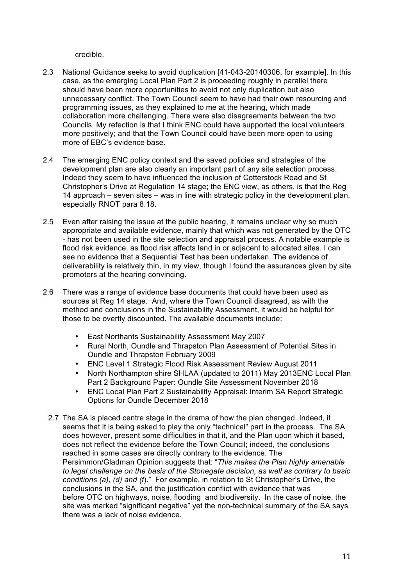credible.

- 2.3 National Guidance seeks to avoid duplication [41-043-20140306, for example]. In this case, as the emerging Local Plan Part 2 is proceeding roughly in parallel there should have been more opportunities to avoid not only duplication but also unnecessary conflict. The Town Council seem to have had their own resourcing and programming issues, as they explained to me at the hearing, which made collaboration more challenging. There were also disagreements between the two Councils. My refection is that I think ENC could have supported the local volunteers more positively; and that the Town Council could have been more open to using more of EBC's evidence base.
- 2.4 The emerging ENC policy context and the saved policies and strategies of the development plan are also clearly an important part of any site selection process. Indeed they seem to have influenced the inclusion of Cotterstock Road and St Christopher's Drive at Regulation 14 stage; the ENC view, as others, is that the Reg 14 approach – seven sites – was in line with strategic policy in the development plan, especially RNOT para 8.18.
- 2.5 Even after raising the issue at the public hearing, it remains unclear why so much appropriate and available evidence, mainly that which was not generated by the OTC - has not been used in the site selection and appraisal process. A notable example is flood risk evidence, as flood risk affects land in or adjacent to allocated sites. I can see no evidence that a Sequential Test has been undertaken. The evidence of deliverability is relatively thin, in my view, though I found the assurances given by site promoters at the hearing convincing.
- 2.6 There was a range of evidence base documents that could have been used as sources at Reg 14 stage. And, where the Town Council disagreed, as with the method and conclusions in the Sustainability Assessment, it would be helpful for those to be overtly discounted. The available documents include:
	- East Northants Sustainability Assessment May 2007
	- Rural North, Oundle and Thrapston Plan Assessment of Potential Sites in Oundle and Thrapston February 2009
	- ENC Level 1 Strategic Flood Risk Assessment Review August 2011
	- North Northampton shire SHLAA (updated to 2011) May 2013ENC Local Plan Part 2 Background Paper: Oundle Site Assessment November 2018
	- ENC Local Plan Part 2 Sustainability Appraisal: Interim SA Report Strategic Options for Oundle December 2018
	- 2.7 The SA is placed centre stage in the drama of how the plan changed. Indeed, it seems that it is being asked to play the only "technical" part in the process. The SA does however, present some difficulties in that it, and the Plan upon which it based, does not reflect the evidence before the Town Council; indeed, the conclusions reached in some cases are directly contrary to the evidence. The Persimmon/Gladman Opinion suggests that: "*This makes the Plan highly amenable to legal challenge on the basis of the Stonegate decision, as well as contrary to basic conditions (a), (d) and (f*)." For example, in relation to St Christopher's Drive, the conclusions in the SA, and the justification conflict with evidence that was before OTC on highways, noise, flooding and biodiversity. In the case of noise, the site was marked "significant negative" yet the non-technical summary of the SA says there was a lack of noise evidence.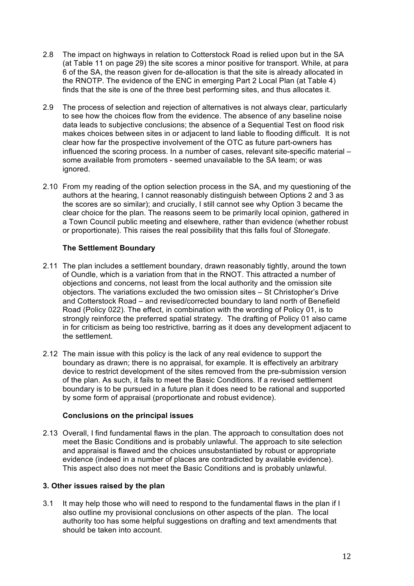- 2.8 The impact on highways in relation to Cotterstock Road is relied upon but in the SA (at Table 11 on page 29) the site scores a minor positive for transport. While, at para 6 of the SA, the reason given for de-allocation is that the site is already allocated in the RNOTP. The evidence of the ENC in emerging Part 2 Local Plan (at Table 4) finds that the site is one of the three best performing sites, and thus allocates it.
- 2.9 The process of selection and rejection of alternatives is not always clear, particularly to see how the choices flow from the evidence. The absence of any baseline noise data leads to subjective conclusions; the absence of a Sequential Test on flood risk makes choices between sites in or adjacent to land liable to flooding difficult. It is not clear how far the prospective involvement of the OTC as future part-owners has influenced the scoring process. In a number of cases, relevant site-specific material – some available from promoters - seemed unavailable to the SA team; or was ignored.
- 2.10 From my reading of the option selection process in the SA, and my questioning of the authors at the hearing, I cannot reasonably distinguish between Options 2 and 3 as the scores are so similar); and crucially, I still cannot see why Option 3 became the clear choice for the plan. The reasons seem to be primarily local opinion, gathered in a Town Council public meeting and elsewhere, rather than evidence (whether robust or proportionate). This raises the real possibility that this falls foul of *Stonegate*.

#### **The Settlement Boundary**

- 2.11 The plan includes a settlement boundary, drawn reasonably tightly, around the town of Oundle, which is a variation from that in the RNOT. This attracted a number of objections and concerns, not least from the local authority and the omission site objectors. The variations excluded the two omission sites – St Christopher's Drive and Cotterstock Road – and revised/corrected boundary to land north of Benefield Road (Policy 022). The effect, in combination with the wording of Policy 01, is to strongly reinforce the preferred spatial strategy. The drafting of Policy 01 also came in for criticism as being too restrictive, barring as it does any development adjacent to the settlement.
- 2.12 The main issue with this policy is the lack of any real evidence to support the boundary as drawn; there is no appraisal, for example. It is effectively an arbitrary device to restrict development of the sites removed from the pre-submission version of the plan. As such, it fails to meet the Basic Conditions. If a revised settlement boundary is to be pursued in a future plan it does need to be rational and supported by some form of appraisal (proportionate and robust evidence).

#### **Conclusions on the principal issues**

2.13 Overall, I find fundamental flaws in the plan. The approach to consultation does not meet the Basic Conditions and is probably unlawful. The approach to site selection and appraisal is flawed and the choices unsubstantiated by robust or appropriate evidence (indeed in a number of places are contradicted by available evidence). This aspect also does not meet the Basic Conditions and is probably unlawful.

#### **3. Other issues raised by the plan**

3.1 It may help those who will need to respond to the fundamental flaws in the plan if I also outline my provisional conclusions on other aspects of the plan. The local authority too has some helpful suggestions on drafting and text amendments that should be taken into account.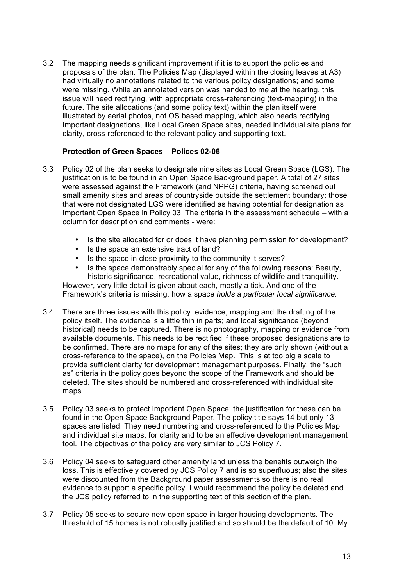3.2 The mapping needs significant improvement if it is to support the policies and proposals of the plan. The Policies Map (displayed within the closing leaves at A3) had virtually no annotations related to the various policy designations; and some were missing. While an annotated version was handed to me at the hearing, this issue will need rectifying, with appropriate cross-referencing (text-mapping) in the future. The site allocations (and some policy text) within the plan itself were illustrated by aerial photos, not OS based mapping, which also needs rectifying. Important designations, like Local Green Space sites, needed individual site plans for clarity, cross-referenced to the relevant policy and supporting text.

#### **Protection of Green Spaces – Polices 02-06**

- 3.3 Policy 02 of the plan seeks to designate nine sites as Local Green Space (LGS). The justification is to be found in an Open Space Background paper. A total of 27 sites were assessed against the Framework (and NPPG) criteria, having screened out small amenity sites and areas of countryside outside the settlement boundary; those that were not designated LGS were identified as having potential for designation as Important Open Space in Policy 03. The criteria in the assessment schedule – with a column for description and comments - were:
	- Is the site allocated for or does it have planning permission for development?
	- Is the space an extensive tract of land?
	- Is the space in close proximity to the community it serves?
	- Is the space demonstrably special for any of the following reasons: Beauty, historic significance, recreational value, richness of wildlife and tranquillity.

However, very little detail is given about each, mostly a tick. And one of the Framework's criteria is missing: how a space *holds a particular local significance.*

- 3.4 There are three issues with this policy: evidence, mapping and the drafting of the policy itself. The evidence is a little thin in parts; and local significance (beyond historical) needs to be captured. There is no photography, mapping or evidence from available documents. This needs to be rectified if these proposed designations are to be confirmed. There are no maps for any of the sites; they are only shown (without a cross-reference to the space), on the Policies Map. This is at too big a scale to provide sufficient clarity for development management purposes. Finally, the "such as" criteria in the policy goes beyond the scope of the Framework and should be deleted. The sites should be numbered and cross-referenced with individual site maps.
- 3.5 Policy 03 seeks to protect Important Open Space; the justification for these can be found in the Open Space Background Paper. The policy title says 14 but only 13 spaces are listed. They need numbering and cross-referenced to the Policies Map and individual site maps, for clarity and to be an effective development management tool. The objectives of the policy are very similar to JCS Policy 7.
- 3.6 Policy 04 seeks to safeguard other amenity land unless the benefits outweigh the loss. This is effectively covered by JCS Policy 7 and is so superfluous; also the sites were discounted from the Background paper assessments so there is no real evidence to support a specific policy. I would recommend the policy be deleted and the JCS policy referred to in the supporting text of this section of the plan.
- 3.7 Policy 05 seeks to secure new open space in larger housing developments. The threshold of 15 homes is not robustly justified and so should be the default of 10. My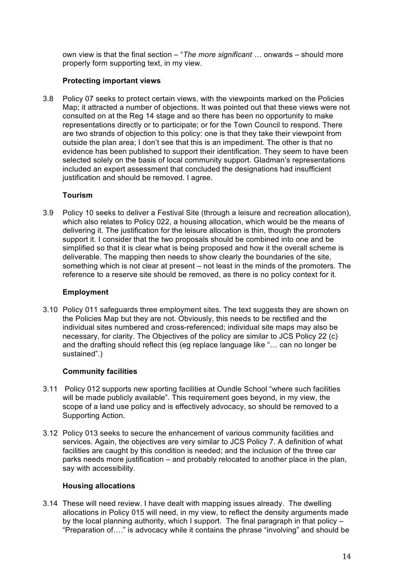own view is that the final section – "*The more significant …* onwards – should more properly form supporting text, in my view.

#### **Protecting important views**

3.8 Policy 07 seeks to protect certain views, with the viewpoints marked on the Policies Map; it attracted a number of objections. It was pointed out that these views were not consulted on at the Reg 14 stage and so there has been no opportunity to make representations directly or to participate; or for the Town Council to respond. There are two strands of objection to this policy: one is that they take their viewpoint from outside the plan area; I don't see that this is an impediment. The other is that no evidence has been published to support their identification. They seem to have been selected solely on the basis of local community support. Gladman's representations included an expert assessment that concluded the designations had insufficient justification and should be removed. I agree.

#### **Tourism**

3.9 Policy 10 seeks to deliver a Festival Site (through a leisure and recreation allocation), which also relates to Policy 022, a housing allocation, which would be the means of delivering it. The justification for the leisure allocation is thin, though the promoters support it. I consider that the two proposals should be combined into one and be simplified so that it is clear what is being proposed and how it the overall scheme is deliverable. The mapping then needs to show clearly the boundaries of the site, something which is not clear at present – not least in the minds of the promoters. The reference to a reserve site should be removed, as there is no policy context for it.

#### **Employment**

3.10 Policy 011 safeguards three employment sites. The text suggests they are shown on the Policies Map but they are not. Obviously, this needs to be rectified and the individual sites numbered and cross-referenced; individual site maps may also be necessary, for clarity. The Objectives of the policy are similar to JCS Policy 22 (c) and the drafting should reflect this (eg replace language like "… can no longer be sustained".)

#### **Community facilities**

- 3.11 Policy 012 supports new sporting facilities at Oundle School "where such facilities will be made publicly available". This requirement goes beyond, in my view, the scope of a land use policy and is effectively advocacy, so should be removed to a Supporting Action.
- 3.12 Policy 013 seeks to secure the enhancement of various community facilities and services. Again, the objectives are very similar to JCS Policy 7. A definition of what facilities are caught by this condition is needed; and the inclusion of the three car parks needs more justification – and probably relocated to another place in the plan, say with accessibility.

#### **Housing allocations**

3.14 These will need review. I have dealt with mapping issues already. The dwelling allocations in Policy 015 will need, in my view, to reflect the density arguments made by the local planning authority, which I support. The final paragraph in that policy – "Preparation of…." is advocacy while it contains the phrase "involving" and should be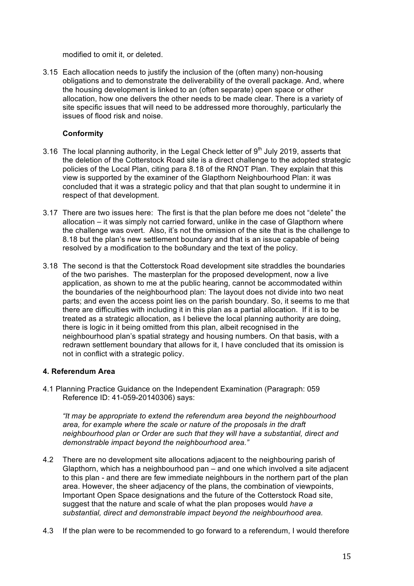modified to omit it, or deleted.

3.15 Each allocation needs to justify the inclusion of the (often many) non-housing obligations and to demonstrate the deliverability of the overall package. And, where the housing development is linked to an (often separate) open space or other allocation, how one delivers the other needs to be made clear. There is a variety of site specific issues that will need to be addressed more thoroughly, particularly the issues of flood risk and noise.

# **Conformity**

- 3.16 The local planning authority, in the Legal Check letter of  $9<sup>th</sup>$  July 2019, asserts that the deletion of the Cotterstock Road site is a direct challenge to the adopted strategic policies of the Local Plan, citing para 8.18 of the RNOT Plan. They explain that this view is supported by the examiner of the Glapthorn Neighbourhood Plan: it was concluded that it was a strategic policy and that that plan sought to undermine it in respect of that development.
- 3.17 There are two issues here: The first is that the plan before me does not "delete" the allocation – it was simply not carried forward, unlike in the case of Glapthorn where the challenge was overt. Also, it's not the omission of the site that is the challenge to 8.18 but the plan's new settlement boundary and that is an issue capable of being resolved by a modification to the bo8undary and the text of the policy.
- 3.18 The second is that the Cotterstock Road development site straddles the boundaries of the two parishes. The masterplan for the proposed development, now a live application, as shown to me at the public hearing, cannot be accommodated within the boundaries of the neighbourhood plan: The layout does not divide into two neat parts; and even the access point lies on the parish boundary. So, it seems to me that there are difficulties with including it in this plan as a partial allocation. If it is to be treated as a strategic allocation, as I believe the local planning authority are doing, there is logic in it being omitted from this plan, albeit recognised in the neighbourhood plan's spatial strategy and housing numbers. On that basis, with a redrawn settlement boundary that allows for it, I have concluded that its omission is not in conflict with a strategic policy.

#### **4. Referendum Area**

4.1 Planning Practice Guidance on the Independent Examination (Paragraph: 059 Reference ID: 41-059-20140306) says:

*"It may be appropriate to extend the referendum area beyond the neighbourhood area, for example where the scale or nature of the proposals in the draft neighbourhood plan or Order are such that they will have a substantial, direct and demonstrable impact beyond the neighbourhood area."*

- 4.2 There are no development site allocations adjacent to the neighbouring parish of Glapthorn, which has a neighbourhood pan – and one which involved a site adjacent to this plan - and there are few immediate neighbours in the northern part of the plan area. However, the sheer adjacency of the plans, the combination of viewpoints, Important Open Space designations and the future of the Cotterstock Road site, suggest that the nature and scale of what the plan proposes would *have a substantial, direct and demonstrable impact beyond the neighbourhood area.*
- 4.3 If the plan were to be recommended to go forward to a referendum, I would therefore